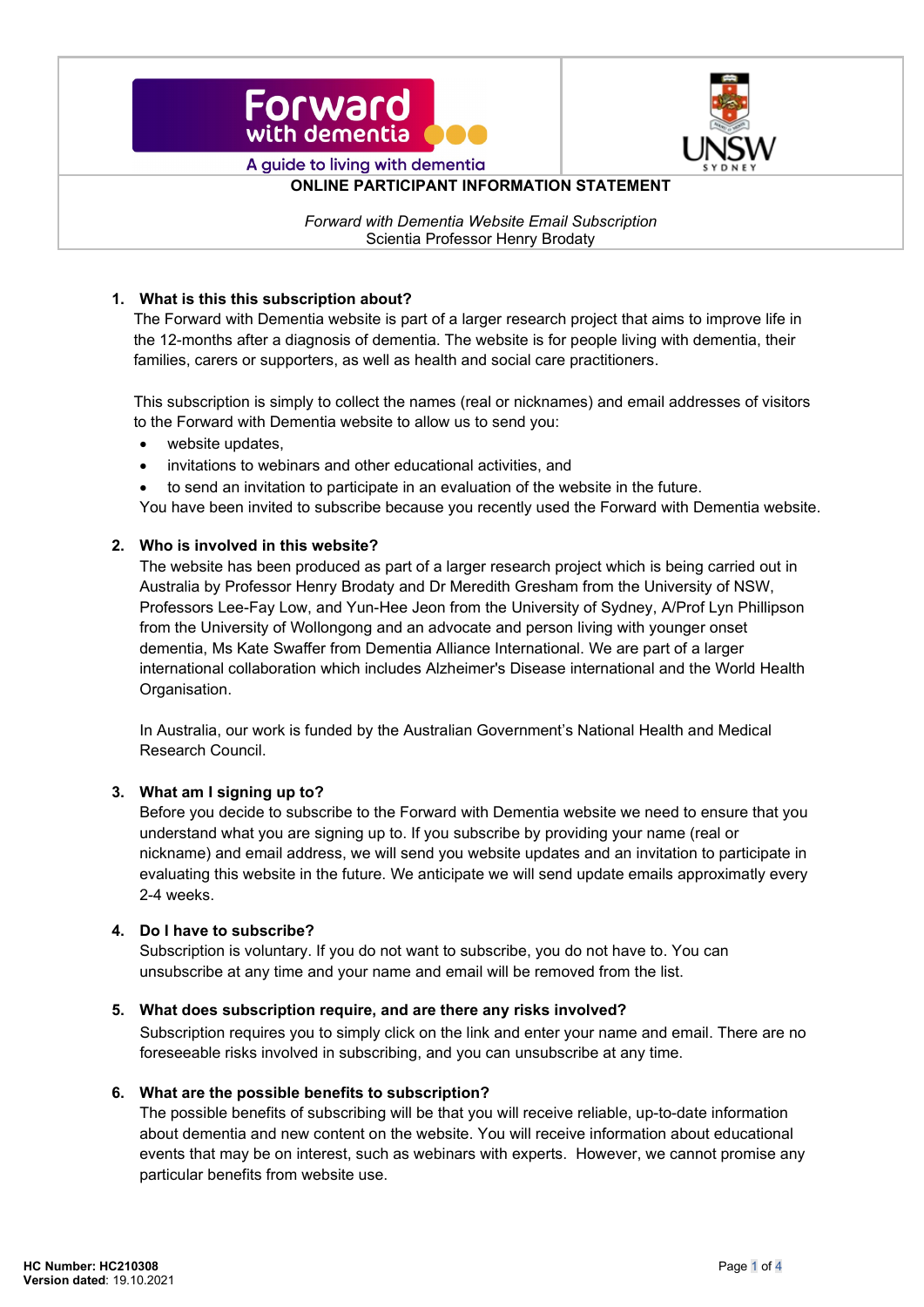



**ONLINE PARTICIPANT INFORMATION STATEMENT** 

*Forward with Dementia Website Email Subscription* Scientia Professor Henry Brodaty

#### **1. What is this this subscription about?**

The Forward with Dementia website is part of a larger research project that aims to improve life in the 12-months after a diagnosis of dementia. The website is for people living with dementia, their families, carers or supporters, as well as health and social care practitioners.

This subscription is simply to collect the names (real or nicknames) and email addresses of visitors to the Forward with Dementia website to allow us to send you:

- website updates,
- invitations to webinars and other educational activities, and
- to send an invitation to participate in an evaluation of the website in the future.

You have been invited to subscribe because you recently used the Forward with Dementia website.

## **2. Who is involved in this website?**

The website has been produced as part of a larger research project which is being carried out in Australia by Professor Henry Brodaty and Dr Meredith Gresham from the University of NSW, Professors Lee-Fay Low, and Yun-Hee Jeon from the University of Sydney, A/Prof Lyn Phillipson from the University of Wollongong and an advocate and person living with younger onset dementia, Ms Kate Swaffer from Dementia Alliance International. We are part of a larger international collaboration which includes Alzheimer's Disease international and the World Health Organisation.

In Australia, our work is funded by the Australian Government's National Health and Medical Research Council.

#### **3. What am I signing up to?**

Before you decide to subscribe to the Forward with Dementia website we need to ensure that you understand what you are signing up to. If you subscribe by providing your name (real or nickname) and email address, we will send you website updates and an invitation to participate in evaluating this website in the future. We anticipate we will send update emails approximatly every 2-4 weeks.

#### **4. Do I have to subscribe?**

Subscription is voluntary. If you do not want to subscribe, you do not have to. You can unsubscribe at any time and your name and email will be removed from the list.

#### **5. What does subscription require, and are there any risks involved?**

Subscription requires you to simply click on the link and enter your name and email. There are no foreseeable risks involved in subscribing, and you can unsubscribe at any time.

#### **6. What are the possible benefits to subscription?**

The possible benefits of subscribing will be that you will receive reliable, up-to-date information about dementia and new content on the website. You will receive information about educational events that may be on interest, such as webinars with experts. However, we cannot promise any particular benefits from website use.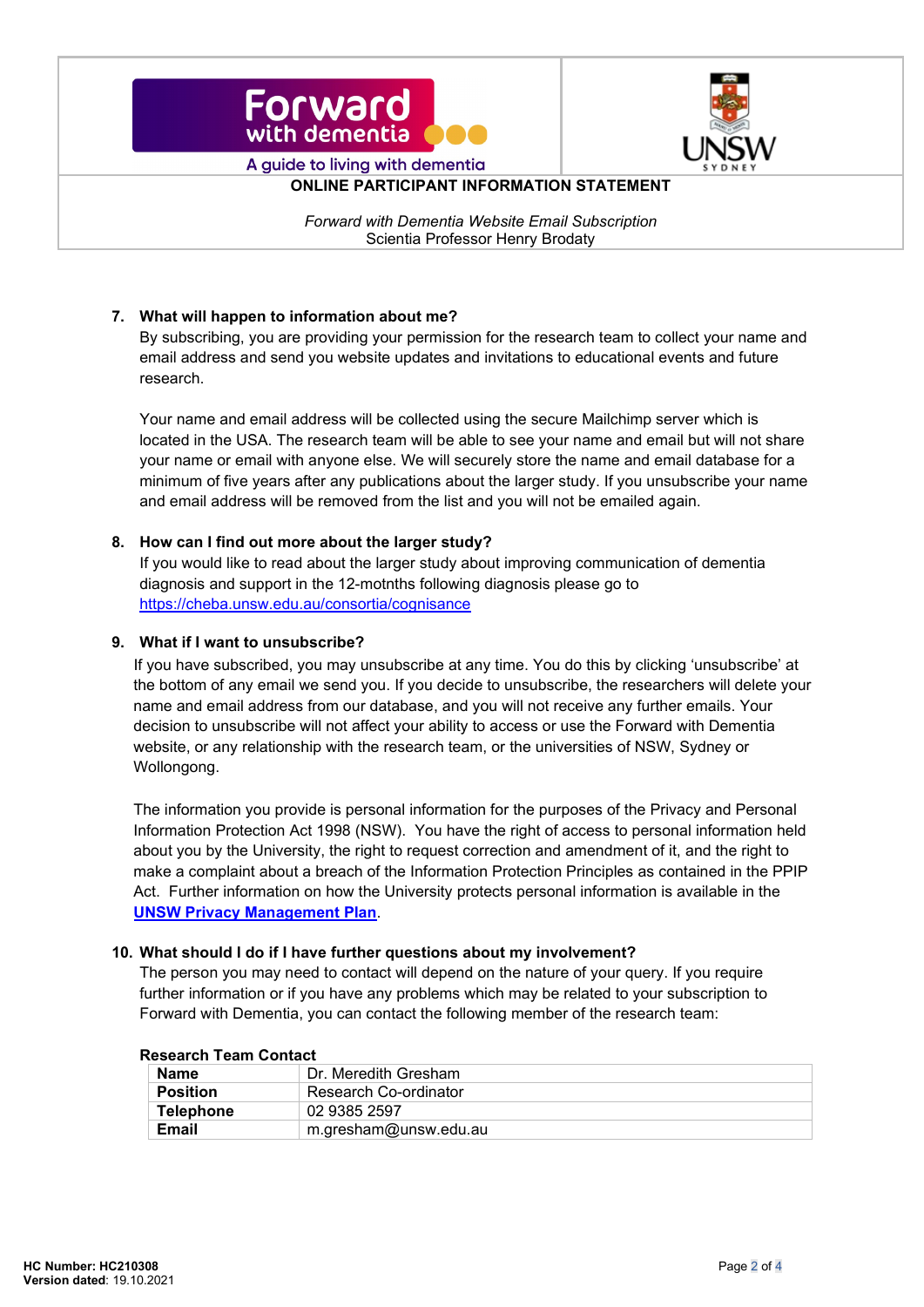



**ONLINE PARTICIPANT INFORMATION STATEMENT** 

*Forward with Dementia Website Email Subscription* Scientia Professor Henry Brodaty

# **7. What will happen to information about me?**

By subscribing, you are providing your permission for the research team to collect your name and email address and send you website updates and invitations to educational events and future research.

Your name and email address will be collected using the secure Mailchimp server which is located in the USA. The research team will be able to see your name and email but will not share your name or email with anyone else. We will securely store the name and email database for a minimum of five years after any publications about the larger study. If you unsubscribe your name and email address will be removed from the list and you will not be emailed again.

#### **8. How can I find out more about the larger study?**

If you would like to read about the larger study about improving communication of dementia diagnosis and support in the 12-motnths following diagnosis please go to <https://cheba.unsw.edu.au/consortia/cognisance>

#### **9. What if I want to unsubscribe?**

If you have subscribed, you may unsubscribe at any time. You do this by clicking 'unsubscribe' at the bottom of any email we send you. If you decide to unsubscribe, the researchers will delete your name and email address from our database, and you will not receive any further emails. Your decision to unsubscribe will not affect your ability to access or use the Forward with Dementia website, or any relationship with the research team, or the universities of NSW, Sydney or Wollongong.

The information you provide is personal information for the purposes of the Privacy and Personal Information Protection Act 1998 (NSW). You have the right of access to personal information held about you by the University, the right to request correction and amendment of it, and the right to make a complaint about a breach of the Information Protection Principles as contained in the PPIP Act. Further information on how the University protects personal information is available in the **[UNSW Privacy Management Plan](https://www.legal.unsw.edu.au/compliance/privacyhome.html)**.

#### **10. What should I do if I have further questions about my involvement?**

The person you may need to contact will depend on the nature of your query. If you require further information or if you have any problems which may be related to your subscription to Forward with Dementia, you can contact the following member of the research team:

| www.cillivallivullivuv |                       |  |
|------------------------|-----------------------|--|
| <b>Name</b>            | Dr. Meredith Gresham  |  |
| <b>Position</b>        | Research Co-ordinator |  |
| <b>Telephone</b>       | 02 9385 2597          |  |
| Email                  | m.gresham@unsw.edu.au |  |

#### **Research Team Contact**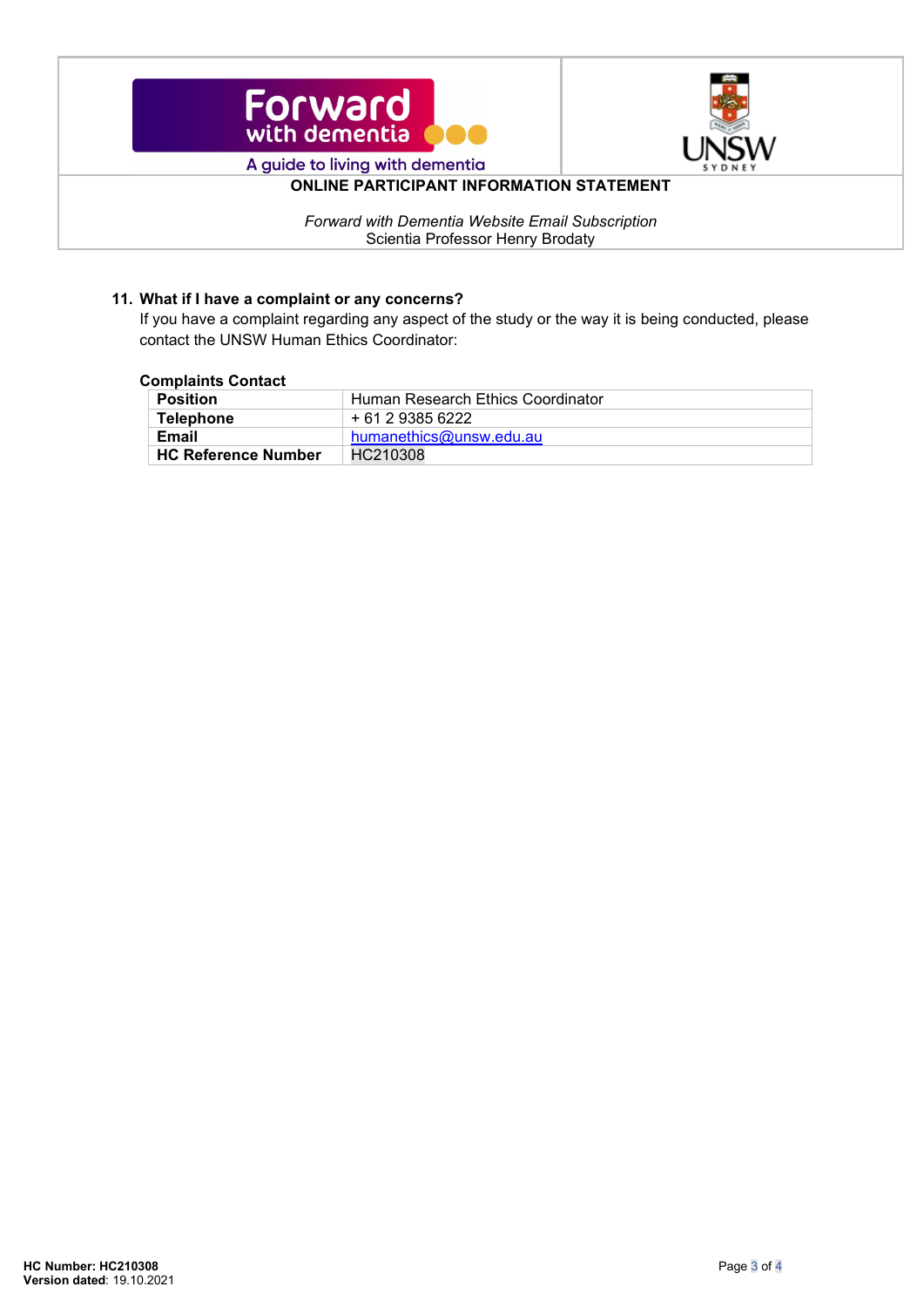



# **ONLINE PARTICIPANT INFORMATION STATEMENT**

*Forward with Dementia Website Email Subscription* Scientia Professor Henry Brodaty

# **11. What if I have a complaint or any concerns?**

If you have a complaint regarding any aspect of the study or the way it is being conducted, please contact the UNSW Human Ethics Coordinator:

#### **Complaints Contact**

| <b>Position</b>            | Human Research Ethics Coordinator |
|----------------------------|-----------------------------------|
| Telephone                  | + 61 2 9385 6222                  |
| Email                      | humanethics@unsw.edu.au           |
| <b>HC Reference Number</b> | HC210308                          |